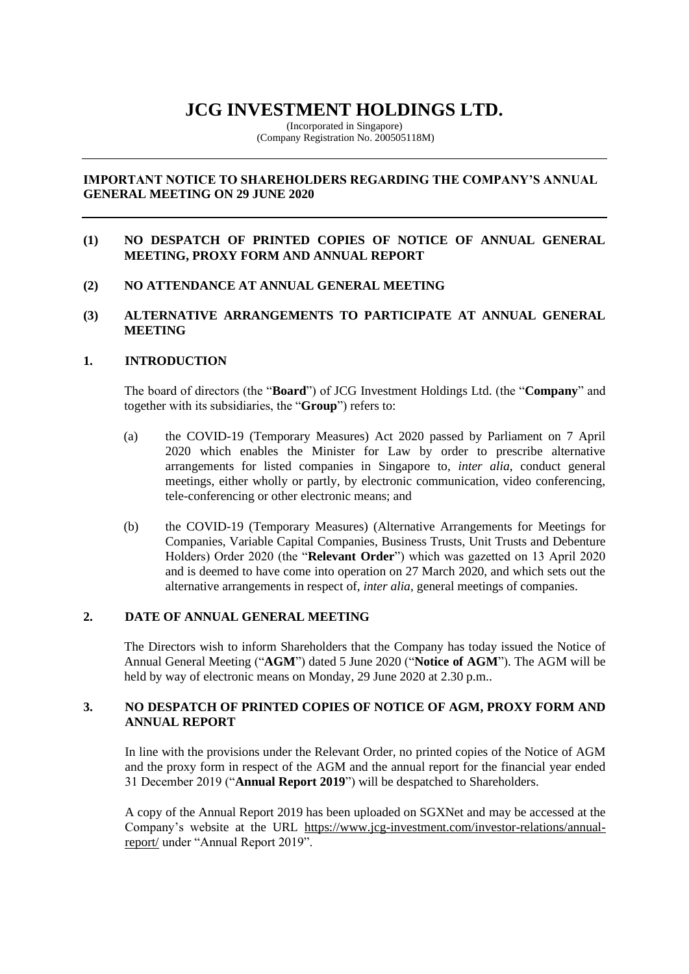# **JCG INVESTMENT HOLDINGS LTD.**

(Incorporated in Singapore) (Company Registration No. 200505118M)

# **IMPORTANT NOTICE TO SHAREHOLDERS REGARDING THE COMPANY'S ANNUAL GENERAL MEETING ON 29 JUNE 2020**

# **(1) NO DESPATCH OF PRINTED COPIES OF NOTICE OF ANNUAL GENERAL MEETING, PROXY FORM AND ANNUAL REPORT**

**(2) NO ATTENDANCE AT ANNUAL GENERAL MEETING** 

## **(3) ALTERNATIVE ARRANGEMENTS TO PARTICIPATE AT ANNUAL GENERAL MEETING**

# **1. INTRODUCTION**

The board of directors (the "**Board**") of JCG Investment Holdings Ltd. (the "**Company**" and together with its subsidiaries, the "**Group**") refers to:

- (a) the COVID-19 (Temporary Measures) Act 2020 passed by Parliament on 7 April 2020 which enables the Minister for Law by order to prescribe alternative arrangements for listed companies in Singapore to, *inter alia*, conduct general meetings, either wholly or partly, by electronic communication, video conferencing, tele-conferencing or other electronic means; and
- (b) the COVID-19 (Temporary Measures) (Alternative Arrangements for Meetings for Companies, Variable Capital Companies, Business Trusts, Unit Trusts and Debenture Holders) Order 2020 (the "**Relevant Order**") which was gazetted on 13 April 2020 and is deemed to have come into operation on 27 March 2020, and which sets out the alternative arrangements in respect of, *inter alia*, general meetings of companies.

# **2. DATE OF ANNUAL GENERAL MEETING**

The Directors wish to inform Shareholders that the Company has today issued the Notice of Annual General Meeting ("**AGM**") dated 5 June 2020 ("**Notice of AGM**"). The AGM will be held by way of electronic means on Monday, 29 June 2020 at 2.30 p.m..

# **3. NO DESPATCH OF PRINTED COPIES OF NOTICE OF AGM, PROXY FORM AND ANNUAL REPORT**

In line with the provisions under the Relevant Order, no printed copies of the Notice of AGM and the proxy form in respect of the AGM and the annual report for the financial year ended 31 December 2019 ("**Annual Report 2019**") will be despatched to Shareholders.

A copy of the Annual Report 2019 has been uploaded on SGXNet and may be accessed at the Company's website at the URL [https://www.jcg-investment.com/investor-relations/annual](https://www.jcg-investment.com/investor-relations/annual-report/)[report/](https://www.jcg-investment.com/investor-relations/annual-report/) under "Annual Report 2019".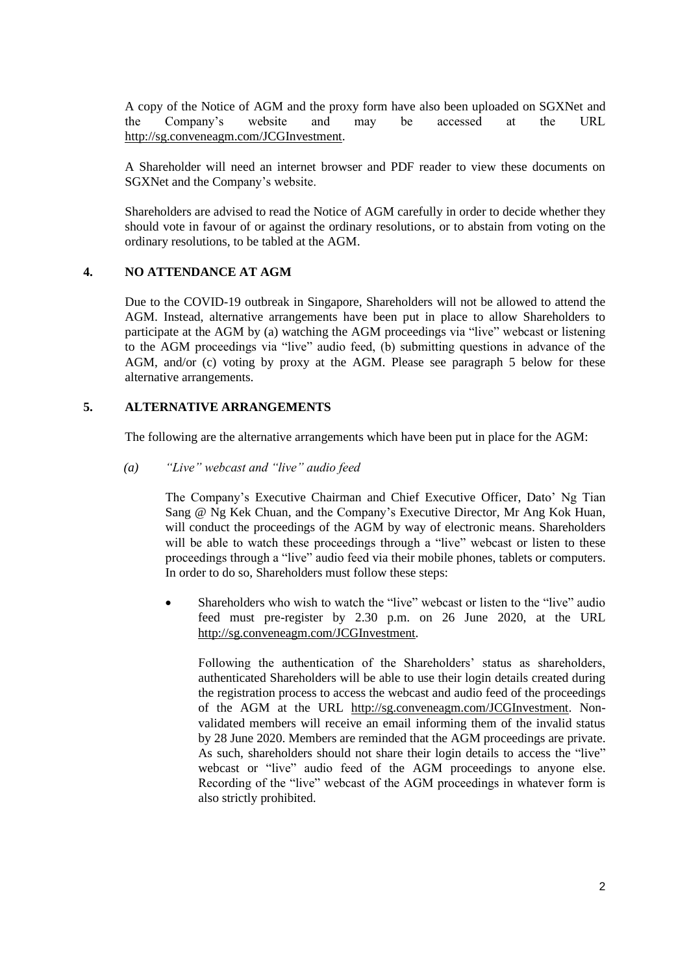A copy of the Notice of AGM and the proxy form have also been uploaded on SGXNet and the Company's website and may be accessed at the URL http://sg.conveneagm.com/JCGInvestment.

A Shareholder will need an internet browser and PDF reader to view these documents on SGXNet and the Company's website.

Shareholders are advised to read the Notice of AGM carefully in order to decide whether they should vote in favour of or against the ordinary resolutions, or to abstain from voting on the ordinary resolutions, to be tabled at the AGM.

## **4. NO ATTENDANCE AT AGM**

Due to the COVID-19 outbreak in Singapore, Shareholders will not be allowed to attend the AGM. Instead, alternative arrangements have been put in place to allow Shareholders to participate at the AGM by (a) watching the AGM proceedings via "live" webcast or listening to the AGM proceedings via "live" audio feed, (b) submitting questions in advance of the AGM, and/or (c) voting by proxy at the AGM. Please see paragraph 5 below for these alternative arrangements.

#### **5. ALTERNATIVE ARRANGEMENTS**

The following are the alternative arrangements which have been put in place for the AGM:

#### *(a) "Live" webcast and "live" audio feed*

The Company's Executive Chairman and Chief Executive Officer, Dato' Ng Tian Sang @ Ng Kek Chuan, and the Company's Executive Director, Mr Ang Kok Huan, will conduct the proceedings of the AGM by way of electronic means. Shareholders will be able to watch these proceedings through a "live" webcast or listen to these proceedings through a "live" audio feed via their mobile phones, tablets or computers. In order to do so, Shareholders must follow these steps:

• Shareholders who wish to watch the "live" webcast or listen to the "live" audio feed must pre-register by 2.30 p.m. on 26 June 2020, at the URL [http://sg.conveneagm.com/JCGInvestment.](http://sg.conveneagm.com/JCGInvestment)

Following the authentication of the Shareholders' status as shareholders, authenticated Shareholders will be able to use their login details created during the registration process to access the webcast and audio feed of the proceedings of the AGM at the URL [http://sg.conveneagm.com/JCGInvestment.](http://sg.conveneagm.com/JCGInvestment) Nonvalidated members will receive an email informing them of the invalid status by 28 June 2020. Members are reminded that the AGM proceedings are private. As such, shareholders should not share their login details to access the "live" webcast or "live" audio feed of the AGM proceedings to anyone else. Recording of the "live" webcast of the AGM proceedings in whatever form is also strictly prohibited.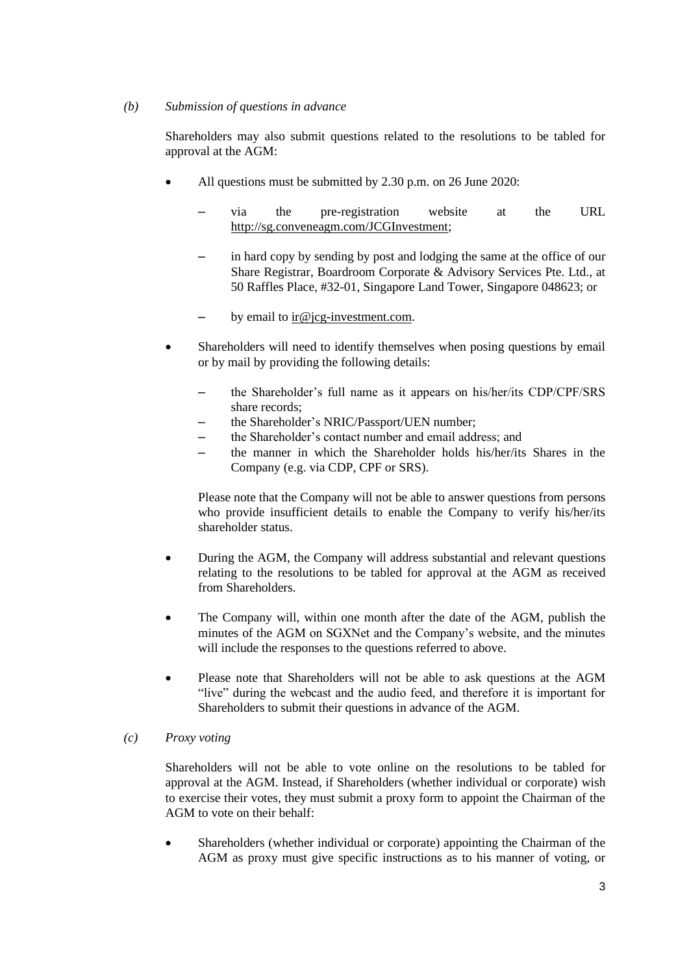#### *(b) Submission of questions in advance*

Shareholders may also submit questions related to the resolutions to be tabled for approval at the AGM:

- All questions must be submitted by 2.30 p.m. on 26 June 2020:
	- ‒ via the pre-registration website at the URL http://sg.conveneagm.com/JCGInvestment;
	- ‒ in hard copy by sending by post and lodging the same at the office of our Share Registrar, Boardroom Corporate & Advisory Services Pte. Ltd., at 50 Raffles Place, #32-01, Singapore Land Tower, Singapore 048623; or
	- $-$  by email to ir $@$  jcg-investment.com.
- Shareholders will need to identify themselves when posing questions by email or by mail by providing the following details:
	- ‒ the Shareholder's full name as it appears on his/her/its CDP/CPF/SRS share records;
	- ‒ the Shareholder's NRIC/Passport/UEN number;
	- ‒ the Shareholder's contact number and email address; and
	- ‒ the manner in which the Shareholder holds his/her/its Shares in the Company (e.g. via CDP, CPF or SRS).

Please note that the Company will not be able to answer questions from persons who provide insufficient details to enable the Company to verify his/her/its shareholder status.

- During the AGM, the Company will address substantial and relevant questions relating to the resolutions to be tabled for approval at the AGM as received from Shareholders.
- The Company will, within one month after the date of the AGM, publish the minutes of the AGM on SGXNet and the Company's website, and the minutes will include the responses to the questions referred to above.
- Please note that Shareholders will not be able to ask questions at the AGM "live" during the webcast and the audio feed, and therefore it is important for Shareholders to submit their questions in advance of the AGM.

### *(c) Proxy voting*

Shareholders will not be able to vote online on the resolutions to be tabled for approval at the AGM. Instead, if Shareholders (whether individual or corporate) wish to exercise their votes, they must submit a proxy form to appoint the Chairman of the AGM to vote on their behalf:

• Shareholders (whether individual or corporate) appointing the Chairman of the AGM as proxy must give specific instructions as to his manner of voting, or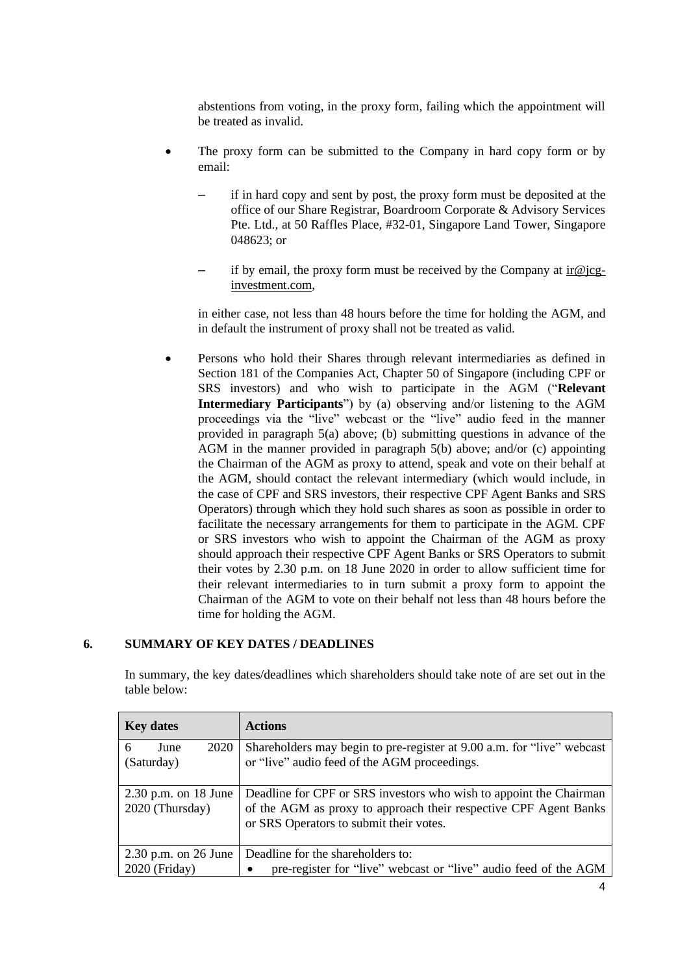abstentions from voting, in the proxy form, failing which the appointment will be treated as invalid.

- The proxy form can be submitted to the Company in hard copy form or by email:
	- ‒ if in hard copy and sent by post, the proxy form must be deposited at the office of our Share Registrar, Boardroom Corporate & Advisory Services Pte. Ltd., at 50 Raffles Place, #32-01, Singapore Land Tower, Singapore 048623; or
	- if by email, the proxy form must be received by the Company at  $\text{ir}@$  jcginvestment.com,

in either case, not less than 48 hours before the time for holding the AGM, and in default the instrument of proxy shall not be treated as valid.

• Persons who hold their Shares through relevant intermediaries as defined in Section 181 of the Companies Act, Chapter 50 of Singapore (including CPF or SRS investors) and who wish to participate in the AGM ("**Relevant Intermediary Participants**") by (a) observing and/or listening to the AGM proceedings via the "live" webcast or the "live" audio feed in the manner provided in paragraph 5(a) above; (b) submitting questions in advance of the AGM in the manner provided in paragraph 5(b) above; and/or (c) appointing the Chairman of the AGM as proxy to attend, speak and vote on their behalf at the AGM, should contact the relevant intermediary (which would include, in the case of CPF and SRS investors, their respective CPF Agent Banks and SRS Operators) through which they hold such shares as soon as possible in order to facilitate the necessary arrangements for them to participate in the AGM. CPF or SRS investors who wish to appoint the Chairman of the AGM as proxy should approach their respective CPF Agent Banks or SRS Operators to submit their votes by 2.30 p.m. on 18 June 2020 in order to allow sufficient time for their relevant intermediaries to in turn submit a proxy form to appoint the Chairman of the AGM to vote on their behalf not less than 48 hours before the time for holding the AGM.

## **6. SUMMARY OF KEY DATES / DEADLINES**

| <b>Key dates</b>                          | <b>Actions</b>                                                                                                                                                                    |
|-------------------------------------------|-----------------------------------------------------------------------------------------------------------------------------------------------------------------------------------|
| 2020<br>June<br>6<br>(Saturday)           | Shareholders may begin to pre-register at 9.00 a.m. for "live" webcast<br>or "live" audio feed of the AGM proceedings.                                                            |
| $2.30$ p.m. on 18 June<br>2020 (Thursday) | Deadline for CPF or SRS investors who wish to appoint the Chairman<br>of the AGM as proxy to approach their respective CPF Agent Banks<br>or SRS Operators to submit their votes. |
| $2.30$ p.m. on $26$ June                  | Deadline for the shareholders to:                                                                                                                                                 |
| 2020 (Friday)                             | pre-register for "live" webcast or "live" audio feed of the AGM                                                                                                                   |

In summary, the key dates/deadlines which shareholders should take note of are set out in the table below: